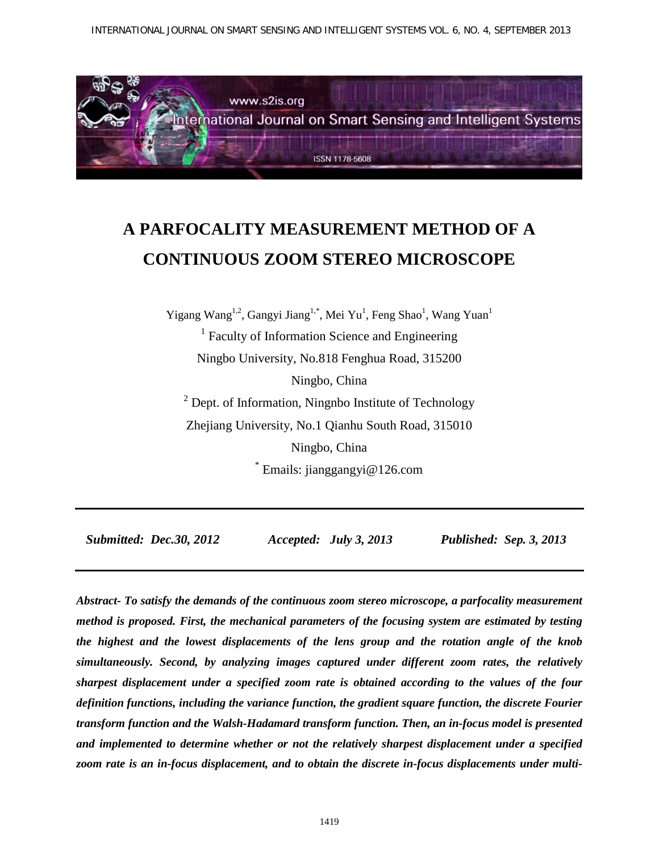INTERNATIONAL JOURNAL ON SMART SENSING AND INTELLIGENT SYSTEMS VOL. 6, NO. 4, SEPTEMBER 2013



# **A PARFOCALITY MEASUREMENT METHOD OF A CONTINUOUS ZOOM STEREO MICROSCOPE**

Yigang Wang<sup>1,2</sup>, Gangyi Jiang<sup>1,\*</sup>, Mei Yu<sup>1</sup>, Feng Shao<sup>1</sup>, Wang Yuan<sup>1</sup> <sup>1</sup> Faculty of Information Science and Engineering

Ningbo University, No.818 Fenghua Road, 315200

Ningbo, China

 $2$  Dept. of Information, Ningnbo Institute of Technology Zhejiang University, No.1 Qianhu South Road, 315010 Ningbo, China

\* Emails: jianggangyi@126.com

 *Submitted: Dec.30, 2012 Accepted: July 3, 2013 Published: Sep. 3, 2013*

*Abstract- To satisfy the demands of the continuous zoom stereo microscope, a parfocality measurement method is proposed. First, the mechanical parameters of the focusing system are estimated by testing the highest and the lowest displacements of the lens group and the rotation angle of the knob simultaneously. Second, by analyzing images captured under different zoom rates, the relatively sharpest displacement under a specified zoom rate is obtained according to the values of the four definition functions, including the variance function, the gradient square function, the discrete Fourier transform function and the Walsh-Hadamard transform function. Then, an in-focus model is presented and implemented to determine whether or not the relatively sharpest displacement under a specified zoom rate is an in-focus displacement, and to obtain the discrete in-focus displacements under multi-*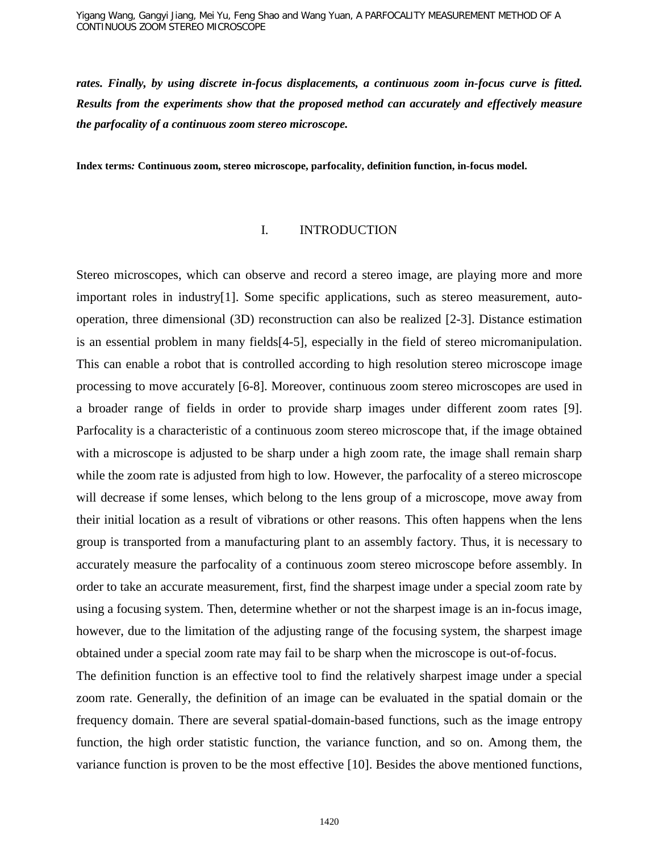*rates. Finally, by using discrete in-focus displacements, a continuous zoom in-focus curve is fitted. Results from the experiments show that the proposed method can accurately and effectively measure the parfocality of a continuous zoom stereo microscope.*

**Index terms***:* **Continuous zoom, stereo microscope, parfocality, definition function, in-focus model.**

#### I. INTRODUCTION

Stereo microscopes, which can observe and record a stereo image, are playing more and more important roles in industry[1]. Some specific applications, such as stereo measurement, autooperation, three dimensional (3D) reconstruction can also be realized [2-3]. Distance estimation is an essential problem in many fields[4-5], especially in the field of stereo micromanipulation. This can enable a robot that is controlled according to high resolution stereo microscope image processing to move accurately [6-8]. Moreover, continuous zoom stereo microscopes are used in a broader range of fields in order to provide sharp images under different zoom rates [9]. Parfocality is a characteristic of a continuous zoom stereo microscope that, if the image obtained with a microscope is adjusted to be sharp under a high zoom rate, the image shall remain sharp while the zoom rate is adjusted from high to low. However, the parfocality of a stereo microscope will decrease if some lenses, which belong to the lens group of a microscope, move away from their initial location as a result of vibrations or other reasons. This often happens when the lens group is transported from a manufacturing plant to an assembly factory. Thus, it is necessary to accurately measure the parfocality of a continuous zoom stereo microscope before assembly. In order to take an accurate measurement, first, find the sharpest image under a special zoom rate by using a focusing system. Then, determine whether or not the sharpest image is an in-focus image, however, due to the limitation of the adjusting range of the focusing system, the sharpest image obtained under a special zoom rate may fail to be sharp when the microscope is out-of-focus.

The definition function is an effective tool to find the relatively sharpest image under a special zoom rate. Generally, the definition of an image can be evaluated in the spatial domain or the frequency domain. There are several spatial-domain-based functions, such as the image entropy function, the high order statistic function, the variance function, and so on. Among them, the variance function is proven to be the most effective [10]. Besides the above mentioned functions,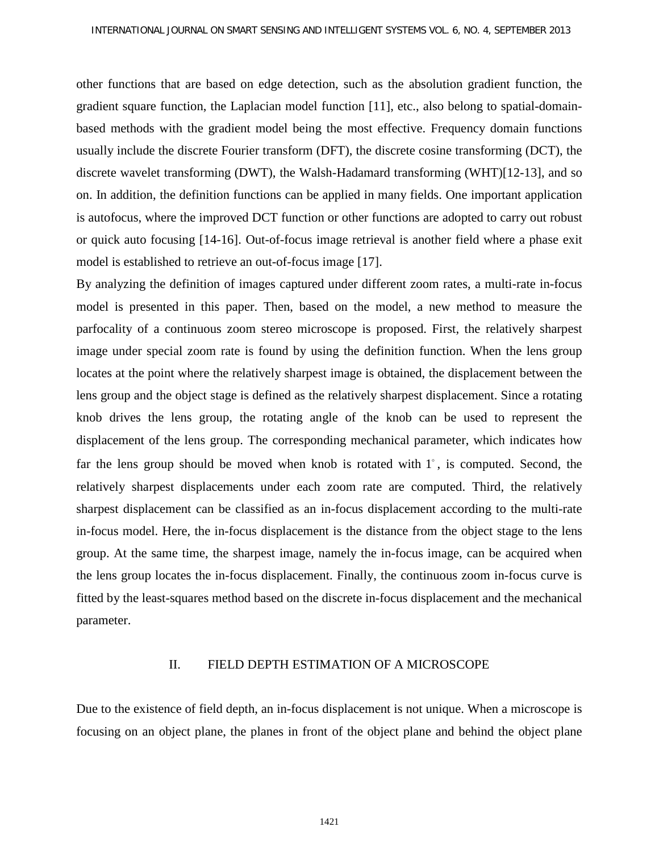other functions that are based on edge detection, such as the absolution gradient function, the gradient square function, the Laplacian model function [11], etc., also belong to spatial-domainbased methods with the gradient model being the most effective. Frequency domain functions usually include the discrete Fourier transform (DFT), the discrete cosine transforming (DCT), the discrete wavelet transforming (DWT), the Walsh-Hadamard transforming (WHT)[12-13], and so on. In addition, the definition functions can be applied in many fields. One important application is autofocus, where the improved DCT function or other functions are adopted to carry out robust or quick auto focusing [14-16]. Out-of-focus image retrieval is another field where a phase exit model is established to retrieve an out-of-focus image [17].

By analyzing the definition of images captured under different zoom rates, a multi-rate in-focus model is presented in this paper. Then, based on the model, a new method to measure the parfocality of a continuous zoom stereo microscope is proposed. First, the relatively sharpest image under special zoom rate is found by using the definition function. When the lens group locates at the point where the relatively sharpest image is obtained, the displacement between the lens group and the object stage is defined as the relatively sharpest displacement. Since a rotating knob drives the lens group, the rotating angle of the knob can be used to represent the displacement of the lens group. The corresponding mechanical parameter, which indicates how far the lens group should be moved when knob is rotated with  $1^\circ$ , is computed. Second, the relatively sharpest displacements under each zoom rate are computed. Third, the relatively sharpest displacement can be classified as an in-focus displacement according to the multi-rate in-focus model. Here, the in-focus displacement is the distance from the object stage to the lens group. At the same time, the sharpest image, namely the in-focus image, can be acquired when the lens group locates the in-focus displacement. Finally, the continuous zoom in-focus curve is fitted by the least-squares method based on the discrete in-focus displacement and the mechanical parameter.

#### II. FIELD DEPTH ESTIMATION OF A MICROSCOPE

Due to the existence of field depth, an in-focus displacement is not unique. When a microscope is focusing on an object plane, the planes in front of the object plane and behind the object plane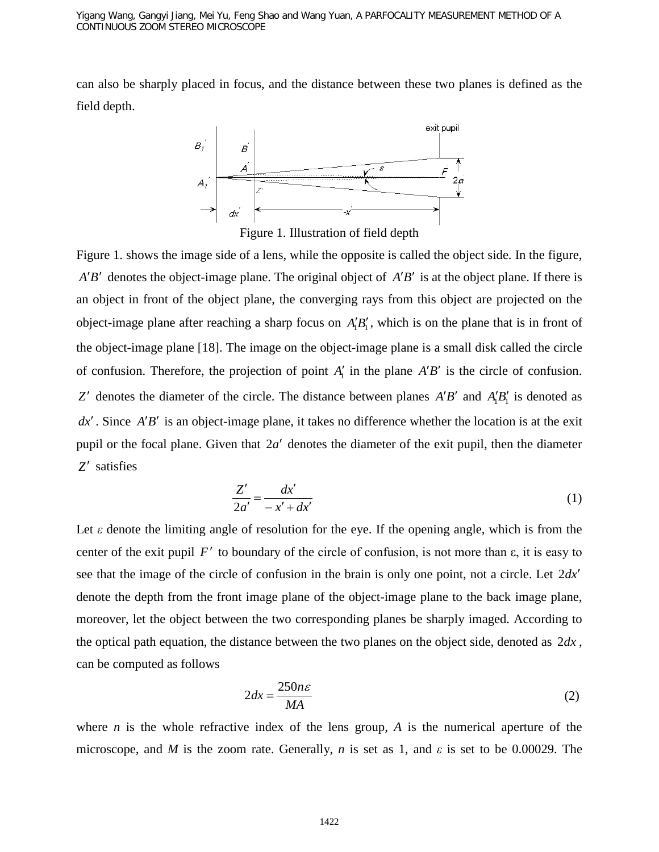can also be sharply placed in focus, and the distance between these two planes is defined as the field depth.



Figure 1. Illustration of field depth

Figure 1. shows the image side of a lens, while the opposite is called the object side. In the figure,  $A'B'$  denotes the object-image plane. The original object of  $A'B'$  is at the object plane. If there is an object in front of the object plane, the converging rays from this object are projected on the object-image plane after reaching a sharp focus on  $A'_1B'_1$ , which is on the plane that is in front of the object-image plane [18]. The image on the object-image plane is a small disk called the circle of confusion. Therefore, the projection of point  $A'_1$  in the plane  $A'B'$  is the circle of confusion. *Z*<sup> $\prime$ </sup> denotes the diameter of the circle. The distance between planes *A*<sup> $\prime$ </sup>*B*<sup> $\prime$ </sup> and *A*<sub>1</sub><sup> $\prime$ </sup><sub> $\prime$ </sub><sup> $\prime$ </sup> is denoted as *dx*′ . Since *A*′*B*′ is an object-image plane, it takes no difference whether the location is at the exit pupil or the focal plane. Given that 2*a*′ denotes the diameter of the exit pupil, then the diameter *Z*′ satisfies

$$
\frac{Z'}{2a'} = \frac{dx'}{-x' + dx'}
$$
 (1)

Let  $\varepsilon$  denote the limiting angle of resolution for the eye. If the opening angle, which is from the center of the exit pupil  $F'$  to boundary of the circle of confusion, is not more than  $\varepsilon$ , it is easy to see that the image of the circle of confusion in the brain is only one point, not a circle. Let 2*dx*′ denote the depth from the front image plane of the object-image plane to the back image plane, moreover, let the object between the two corresponding planes be sharply imaged. According to the optical path equation, the distance between the two planes on the object side, denoted as 2*dx* , can be computed as follows

$$
2dx = \frac{250n\varepsilon}{MA}
$$
 (2)

where *n* is the whole refractive index of the lens group, *A* is the numerical aperture of the microscope, and *M* is the zoom rate. Generally, *n* is set as 1, and *ε* is set to be 0.00029. The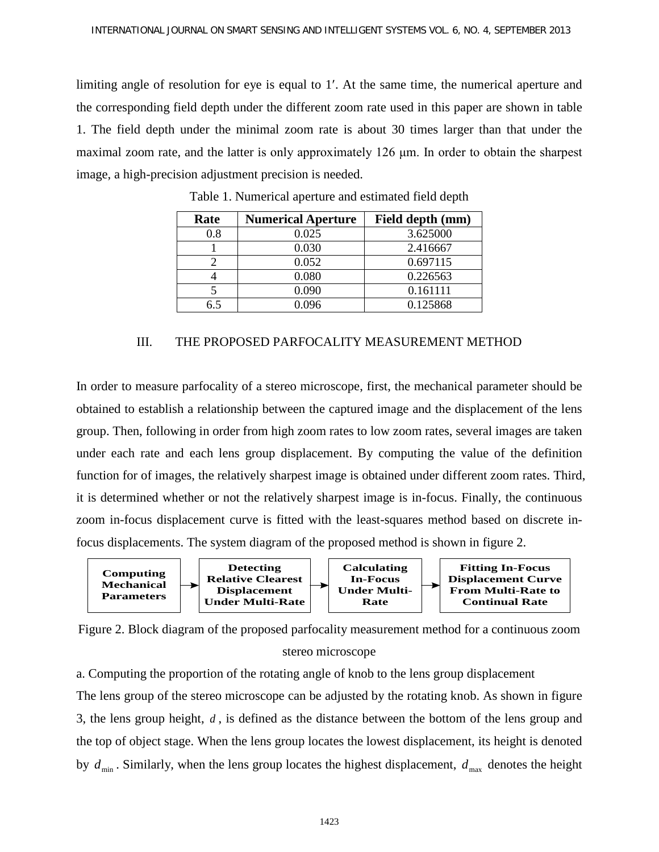limiting angle of resolution for eye is equal to 1′. At the same time, the numerical aperture and the corresponding field depth under the different zoom rate used in this paper are shown in table 1. The field depth under the minimal zoom rate is about 30 times larger than that under the maximal zoom rate, and the latter is only approximately 126 μm. In order to obtain the sharpest image, a high-precision adjustment precision is needed.

| Rate | <b>Numerical Aperture</b> | Field depth (mm) |
|------|---------------------------|------------------|
| 0.8  | 0.025                     | 3.625000         |
|      | 0.030                     | 2.416667         |
|      | 0.052                     | 0.697115         |
|      | 0.080                     | 0.226563         |
|      | 0.090                     | 0.161111         |
| 6.5  | 0.096                     | 0.125868         |

Table 1. Numerical aperture and estimated field depth

# III. THE PROPOSED PARFOCALITY MEASUREMENT METHOD

In order to measure parfocality of a stereo microscope, first, the mechanical parameter should be obtained to establish a relationship between the captured image and the displacement of the lens group. Then, following in order from high zoom rates to low zoom rates, several images are taken under each rate and each lens group displacement. By computing the value of the definition function for of images, the relatively sharpest image is obtained under different zoom rates. Third, it is determined whether or not the relatively sharpest image is in-focus. Finally, the continuous zoom in-focus displacement curve is fitted with the least-squares method based on discrete infocus displacements. The system diagram of the proposed method is shown in figure 2.





a. Computing the proportion of the rotating angle of knob to the lens group displacement The lens group of the stereo microscope can be adjusted by the rotating knob. As shown in figure 3, the lens group height, *d* , is defined as the distance between the bottom of the lens group and the top of object stage. When the lens group locates the lowest displacement, its height is denoted by  $d_{\min}$ . Similarly, when the lens group locates the highest displacement,  $d_{\max}$  denotes the height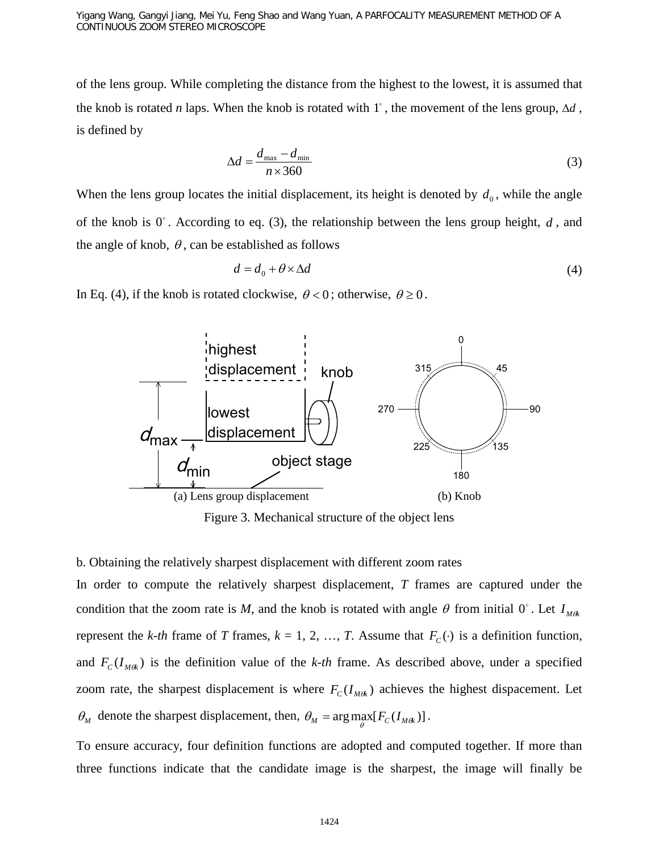Yigang Wang, Gangyi Jiang, Mei Yu, Feng Shao and Wang Yuan, A PARFOCALITY MEASUREMENT METHOD OF A CONTINUOUS ZOOM STEREO MICROSCOPE

of the lens group. While completing the distance from the highest to the lowest, it is assumed that the knob is rotated *n* laps. When the knob is rotated with  $1^{\circ}$ , the movement of the lens group,  $\Delta d$ , is defined by

$$
\Delta d = \frac{d_{\text{max}} - d_{\text{min}}}{n \times 360} \tag{3}
$$

When the lens group locates the initial displacement, its height is denoted by  $d_0$ , while the angle of the knob is  $0^\circ$ . According to eq. (3), the relationship between the lens group height, *d*, and the angle of knob,  $\theta$ , can be established as follows

$$
d = d_0 + \theta \times \Delta d \tag{4}
$$

In Eq. (4), if the knob is rotated clockwise,  $\theta < 0$ ; otherwise,  $\theta \ge 0$ .



Figure 3. Mechanical structure of the object lens

#### b. Obtaining the relatively sharpest displacement with different zoom rates

In order to compute the relatively sharpest displacement, *T* frames are captured under the condition that the zoom rate is *M*, and the knob is rotated with angle  $\theta$  from initial  $0^{\circ}$ . Let  $I_{M\theta k}$ represent the *k*-*th* frame of *T* frames,  $k = 1, 2, ..., T$ . Assume that  $F_c(\cdot)$  is a definition function, and  $F_c(I_{Mek})$  is the definition value of the *k-th* frame. As described above, under a specified zoom rate, the sharpest displacement is where  $F_c(I_{M\theta k})$  achieves the highest dispacement. Let  $\theta_M$  denote the sharpest displacement, then,  $\theta_M = \arg \max_{\theta} [F_C(I_{M\theta_K})]$ .

To ensure accuracy, four definition functions are adopted and computed together. If more than three functions indicate that the candidate image is the sharpest, the image will finally be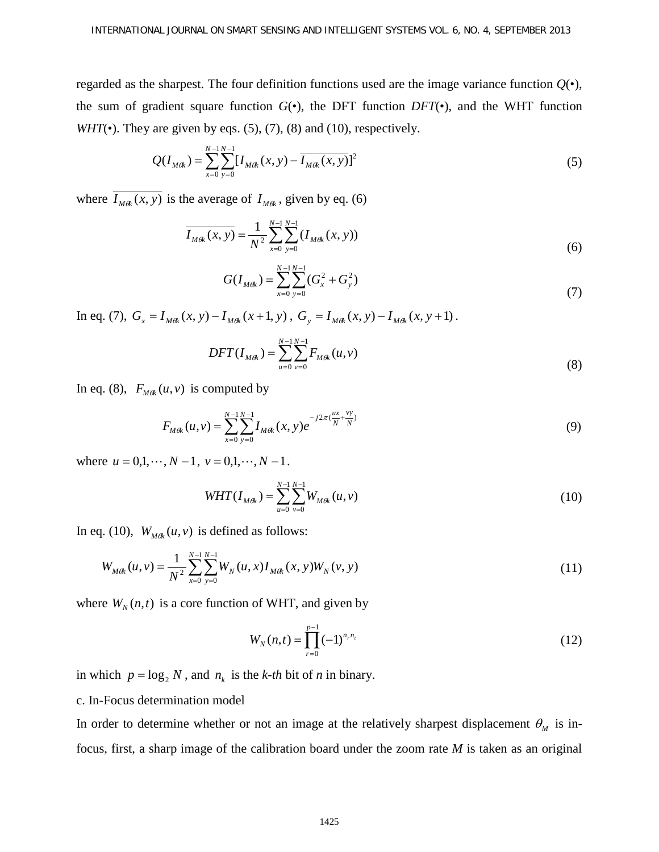regarded as the sharpest. The four definition functions used are the image variance function  $Q(\bullet)$ , the sum of gradient square function  $G(\bullet)$ , the DFT function  $DFT(\bullet)$ , and the WHT function *WHT*( $\bullet$ ). They are given by eqs. (5), (7), (8) and (10), respectively.

$$
Q(I_{M\theta k}) = \sum_{x=0}^{N-1} \sum_{y=0}^{N-1} [I_{M\theta k}(x, y) - \overline{I_{M\theta k}(x, y)}]^2
$$
 (5)

where  $\overline{I_{Mdk}(x, y)}$  is the average of  $I_{Mdk}$ , given by eq. (6)

$$
\overline{I_{M\theta k}(x, y)} = \frac{1}{N^2} \sum_{x=0}^{N-1} \sum_{y=0}^{N-1} (I_{M\theta k}(x, y))
$$
(6)

$$
G(I_{M\alpha}) = \sum_{x=0}^{N-1} \sum_{y=0}^{N-1} (G_x^2 + G_y^2)
$$
\n(7)

In eq. (7),  $G_x = I_{Mak}(x, y) - I_{Mak}(x + 1, y)$ ,  $G_y = I_{Mak}(x, y) - I_{Mak}(x, y + 1)$ .

$$
DFT(I_{Mak}) = \sum_{u=0}^{N-1} \sum_{v=0}^{N-1} F_{Mak}(u,v)
$$
\n(8)

In eq. (8),  $F_{M\ell k}(u, v)$  is computed by

$$
F_{M\theta k}(u,v) = \sum_{x=0}^{N-1} \sum_{y=0}^{N-1} I_{M\theta k}(x,y) e^{-j2\pi(\frac{ux}{N} + \frac{vy}{N})}
$$
(9)

where  $u = 0, 1, \dots, N-1$ ,  $v = 0, 1, \dots, N-1$ .

$$
WHT(I_{M\theta k}) = \sum_{u=0}^{N-1} \sum_{v=0}^{N-1} W_{M\theta k}(u, v)
$$
\n(10)

In eq. (10),  $W_{Mok}(u, v)$  is defined as follows:

$$
W_{M\alpha}(u,v) = \frac{1}{N^2} \sum_{x=0}^{N-1} \sum_{y=0}^{N-1} W_N(u,x) I_{M\alpha}(x,y) W_N(v,y)
$$
(11)

where  $W_N(n,t)$  is a core function of WHT, and given by

$$
W_N(n,t) = \prod_{r=0}^{p-1} (-1)^{n_r n_r}
$$
 (12)

in which  $p = \log_2 N$ , and  $n_k$  is the *k*-*th* bit of *n* in binary.

## c. In-Focus determination model

In order to determine whether or not an image at the relatively sharpest displacement  $\theta_M$  is infocus, first, a sharp image of the calibration board under the zoom rate *M* is taken as an original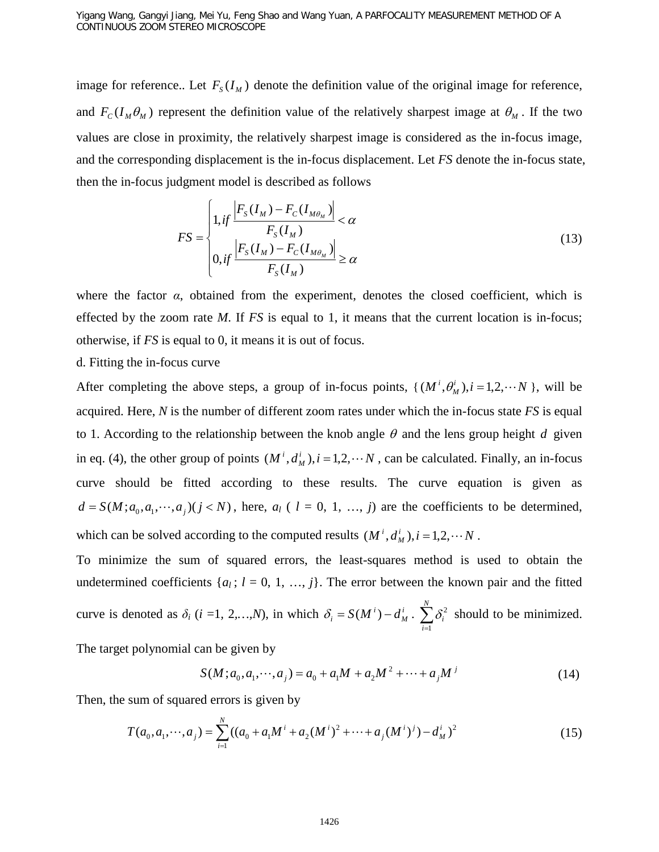image for reference.. Let  $F_s(I_M)$  denote the definition value of the original image for reference, and  $F_c(I_M \theta_M)$  represent the definition value of the relatively sharpest image at  $\theta_M$ . If the two values are close in proximity, the relatively sharpest image is considered as the in-focus image, and the corresponding displacement is the in-focus displacement. Let *FS* denote the in-focus state, then the in-focus judgment model is described as follows

$$
FS = \begin{cases} 1, & \text{if } \frac{\left|F_s(I_M) - F_c(I_{M\theta_M})\right|}{F_s(I_M)} < \alpha \\ 0, & \text{if } \frac{\left|F_s(I_M) - F_c(I_{M\theta_M})\right|}{F_s(I_M)} \ge \alpha \end{cases} \tag{13}
$$

where the factor  $\alpha$ , obtained from the experiment, denotes the closed coefficient, which is effected by the zoom rate *M*. If *FS* is equal to 1, it means that the current location is in-focus; otherwise, if *FS* is equal to 0, it means it is out of focus.

## d. Fitting the in-focus curve

After completing the above steps, a group of in-focus points,  $\{ (M^i, \theta_M^i), i = 1, 2, \dots N \}$ , will be acquired. Here, *N* is the number of different zoom rates under which the in-focus state *FS* is equal to 1. According to the relationship between the knob angle  $\theta$  and the lens group height *d* given in eq. (4), the other group of points  $(M^i, d^i, d^i)$ ,  $i = 1, 2, \cdots N$ , can be calculated. Finally, an in-focus curve should be fitted according to these results. The curve equation is given as  $d = S(M; a_0, a_1, \dots, a_j)$  ( $j < N$ ), here,  $a_l$  ( $l = 0, 1, \dots, j$ ) are the coefficients to be determined,

which can be solved according to the computed results  $(M^{i}, d^{i}_{M}), i = 1, 2, \cdots N$ .

To minimize the sum of squared errors, the least-squares method is used to obtain the undetermined coefficients  $\{a_l; l = 0, 1, ..., j\}$ . The error between the known pair and the fitted curve is denoted as  $\delta_i$  (*i* = 1, 2, *m*, *N*), in which  $\delta_i = S(M^i) - d_M^i$  $\delta_i = S(M^i) - d^i_M \cdot \sum_{i=1}^N$ *i i* 1  $\delta_i^2$  should to be minimized.

The target polynomial can be given by

$$
S(M; a_0, a_1, \cdots, a_j) = a_0 + a_1 M + a_2 M^2 + \cdots + a_j M^j
$$
 (14)

Then, the sum of squared errors is given by

$$
T(a_0, a_1, \cdots, a_j) = \sum_{i=1}^{N} ((a_0 + a_1 M^i + a_2 (M^i))^2 + \cdots + a_j (M^i)^j) - d_M^i)^2
$$
 (15)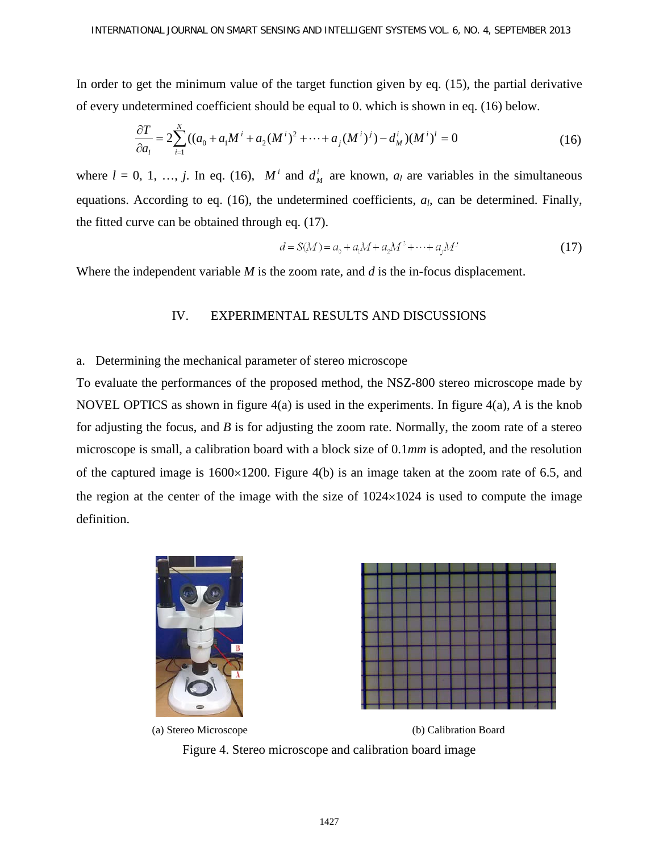In order to get the minimum value of the target function given by eq. (15), the partial derivative of every undetermined coefficient should be equal to 0. which is shown in eq. (16) below.

$$
\frac{\partial T}{\partial a_i} = 2 \sum_{i=1}^{N} \left( (a_0 + a_1 M^i + a_2 (M^i)^2 + \dots + a_j (M^i)^j - d_M^i \right) (M^i)^l = 0
$$
\n(16)

where  $l = 0, 1, ..., j$ . In eq. (16),  $M^i$  and  $d^i_M$  are known,  $a_l$  are variables in the simultaneous equations. According to eq. (16), the undetermined coefficients, *al*, can be determined. Finally, the fitted curve can be obtained through eq. (17).

$$
d = S(M) = a_0 + a_1 M + a_2 M^2 + \dots + a_j M^j \tag{17}
$$

Where the independent variable *M* is the zoom rate, and *d* is the in-focus displacement.

## IV. EXPERIMENTAL RESULTS AND DISCUSSIONS

## a. Determining the mechanical parameter of stereo microscope

To evaluate the performances of the proposed method, the NSZ-800 stereo microscope made by NOVEL OPTICS as shown in figure 4(a) is used in the experiments. In figure 4(a), *A* is the knob for adjusting the focus, and *B* is for adjusting the zoom rate. Normally, the zoom rate of a stereo microscope is small, a calibration board with a block size of 0.1*mm* is adopted, and the resolution of the captured image is 1600×1200. Figure 4(b) is an image taken at the zoom rate of 6.5, and the region at the center of the image with the size of  $1024\times1024$  is used to compute the image definition.





(a) Stereo Microscope (b) Calibration Board Figure 4. Stereo microscope and calibration board image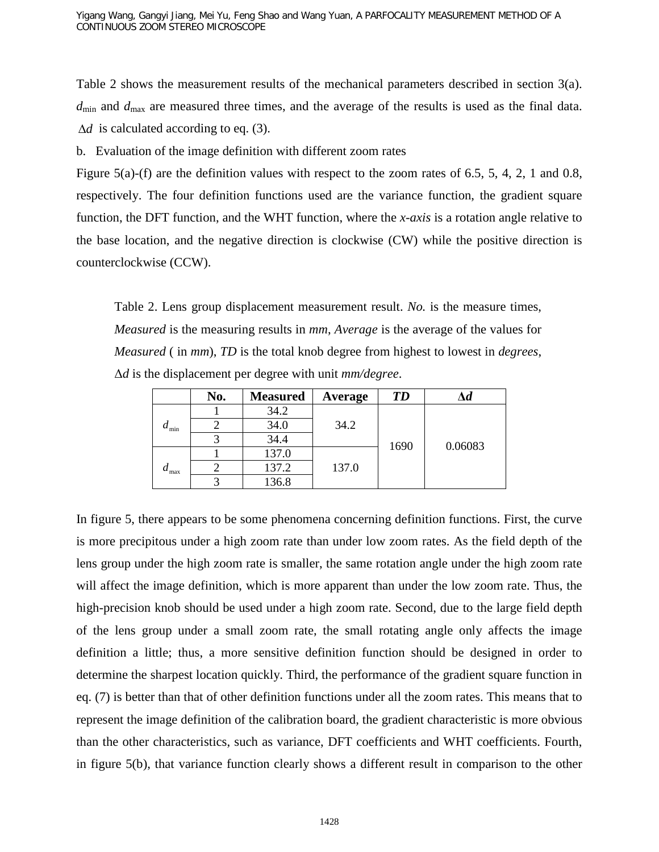Table 2 shows the measurement results of the mechanical parameters described in section 3(a). *d*min and *d*max are measured three times, and the average of the results is used as the final data. ∆*d* is calculated according to eq. (3).

b. Evaluation of the image definition with different zoom rates

Figure 5(a)-(f) are the definition values with respect to the zoom rates of 6.5, 5, 4, 2, 1 and 0.8, respectively. The four definition functions used are the variance function, the gradient square function, the DFT function, and the WHT function, where the *x-axis* is a rotation angle relative to the base location, and the negative direction is clockwise (CW) while the positive direction is counterclockwise (CCW).

Table 2. Lens group displacement measurement result. *No.* is the measure times, *Measured* is the measuring results in *mm*, *Average* is the average of the values for *Measured* ( in *mm*), *TD* is the total knob degree from highest to lowest in *degrees*, Δ*d* is the displacement per degree with unit *mm/degree*.

|                                | No. | <b>Measured</b> | Average | <b>TD</b> | $\Delta d$ |
|--------------------------------|-----|-----------------|---------|-----------|------------|
| $d_{\min}$<br>$a_{\text{max}}$ |     | 34.2            |         | 1690      | 0.06083    |
|                                |     | 34.0            | 34.2    |           |            |
|                                |     | 34.4            |         |           |            |
|                                |     | 137.0           |         |           |            |
|                                |     | 137.2           | 137.0   |           |            |
|                                |     | 136.8           |         |           |            |

In figure 5, there appears to be some phenomena concerning definition functions. First, the curve is more precipitous under a high zoom rate than under low zoom rates. As the field depth of the lens group under the high zoom rate is smaller, the same rotation angle under the high zoom rate will affect the image definition, which is more apparent than under the low zoom rate. Thus, the high-precision knob should be used under a high zoom rate. Second, due to the large field depth of the lens group under a small zoom rate, the small rotating angle only affects the image definition a little; thus, a more sensitive definition function should be designed in order to determine the sharpest location quickly. Third, the performance of the gradient square function in eq. (7) is better than that of other definition functions under all the zoom rates. This means that to represent the image definition of the calibration board, the gradient characteristic is more obvious than the other characteristics, such as variance, DFT coefficients and WHT coefficients. Fourth, in figure 5(b), that variance function clearly shows a different result in comparison to the other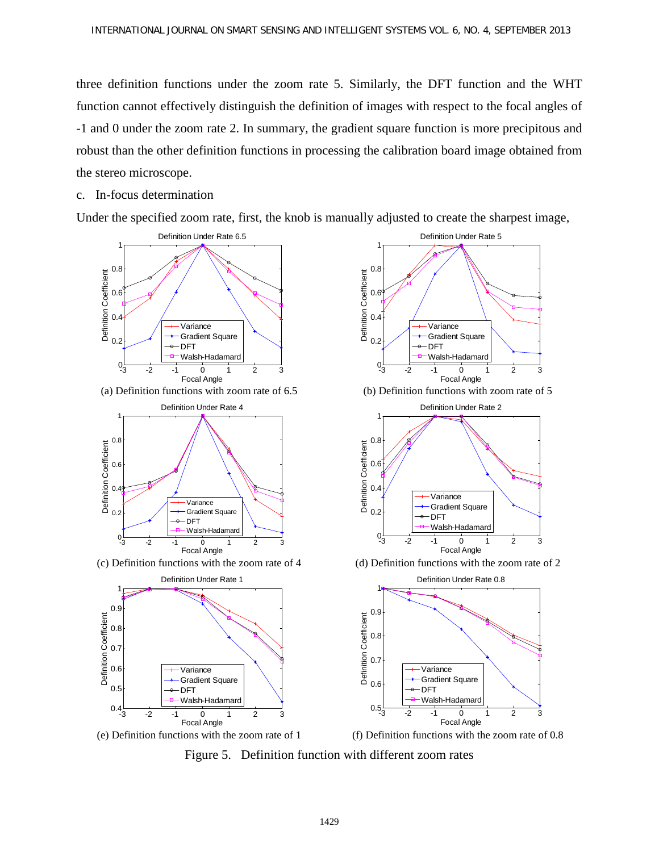three definition functions under the zoom rate 5. Similarly, the DFT function and the WHT function cannot effectively distinguish the definition of images with respect to the focal angles of -1 and 0 under the zoom rate 2. In summary, the gradient square function is more precipitous and robust than the other definition functions in processing the calibration board image obtained from the stereo microscope.

c. In-focus determination

Under the specified zoom rate, first, the knob is manually adjusted to create the sharpest image,



Figure 5. Definition function with different zoom rates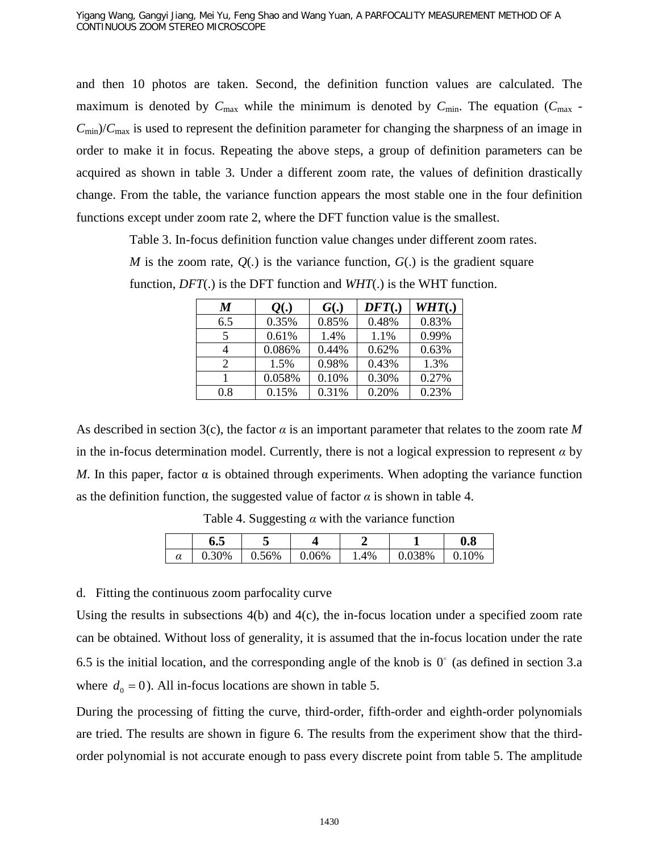and then 10 photos are taken. Second, the definition function values are calculated. The maximum is denoted by  $C_{\text{max}}$  while the minimum is denoted by  $C_{\text{min}}$ . The equation ( $C_{\text{max}}$  - $C_{\text{min}}/C_{\text{max}}$  is used to represent the definition parameter for changing the sharpness of an image in order to make it in focus. Repeating the above steps, a group of definition parameters can be acquired as shown in table 3. Under a different zoom rate, the values of definition drastically change. From the table, the variance function appears the most stable one in the four definition functions except under zoom rate 2, where the DFT function value is the smallest.

Table 3. In-focus definition function value changes under different zoom rates.

*M* is the zoom rate,  $Q(.)$  is the variance function,  $G(.)$  is the gradient square function, *DFT*(.) is the DFT function and *WHT*(.) is the WHT function.

| M   | Q(.)   | G(.)  | $DFT$ . | WHT(.) |
|-----|--------|-------|---------|--------|
| 6.5 | 0.35%  | 0.85% | 0.48%   | 0.83%  |
| 5   | 0.61%  | 1.4%  | 1.1%    | 0.99%  |
| 4   | 0.086% | 0.44% | 0.62%   | 0.63%  |
| 2   | 1.5%   | 0.98% | 0.43%   | 1.3%   |
|     | 0.058% | 0.10% | 0.30%   | 0.27%  |
| 0.8 | 0.15%  | 0.31% | 0.20%   | 0.23%  |
|     |        |       |         |        |

As described in section 3(c), the factor *α* is an important parameter that relates to the zoom rate *M* in the in-focus determination model. Currently, there is not a logical expression to represent  $\alpha$  by *M*. In this paper, factor  $\alpha$  is obtained through experiments. When adopting the variance function as the definition function, the suggested value of factor  $\alpha$  is shown in table 4.

|   | 0.J       | $\overline{\phantom{0}}$ |       |     |     | $\boldsymbol{0.8}$ |
|---|-----------|--------------------------|-------|-----|-----|--------------------|
| u | 0%<br>◡.◡ | $0.56\%$                 | 0.06% | .4% | 38% | $\gamma\%$         |

Table 4. Suggesting *α* with the variance function

d. Fitting the continuous zoom parfocality curve

Using the results in subsections 4(b) and 4(c), the in-focus location under a specified zoom rate can be obtained. Without loss of generality, it is assumed that the in-focus location under the rate 6.5 is the initial location, and the corresponding angle of the knob is  $0^{\circ}$  (as defined in section 3.a where  $d_0 = 0$ ). All in-focus locations are shown in table 5.

During the processing of fitting the curve, third-order, fifth-order and eighth-order polynomials are tried. The results are shown in figure 6. The results from the experiment show that the thirdorder polynomial is not accurate enough to pass every discrete point from table 5. The amplitude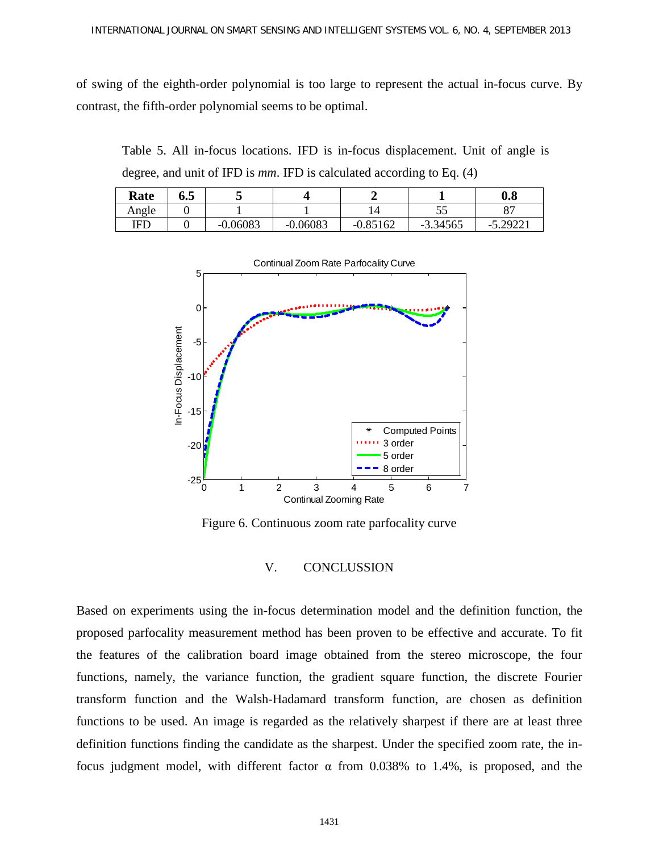of swing of the eighth-order polynomial is too large to represent the actual in-focus curve. By contrast, the fifth-order polynomial seems to be optimal.

Table 5. All in-focus locations. IFD is in-focus displacement. Unit of angle is degree, and unit of IFD is *mm*. IFD is calculated according to Eq. (4)

| <b>Rate</b> | v.J |                  |            |            |            | 0.8               |
|-------------|-----|------------------|------------|------------|------------|-------------------|
| Angle       |     |                  |            |            | ີ          | $\Omega$<br>Ο.    |
| IFD         |     | $-0.06083$<br>-1 | $-0.06083$ | $-0.85162$ | $-3.34565$ | $-5.29221$<br>- 1 |



Figure 6. Continuous zoom rate parfocality curve

# V. CONCLUSSION

Based on experiments using the in-focus determination model and the definition function, the proposed parfocality measurement method has been proven to be effective and accurate. To fit the features of the calibration board image obtained from the stereo microscope, the four functions, namely, the variance function, the gradient square function, the discrete Fourier transform function and the Walsh-Hadamard transform function, are chosen as definition functions to be used. An image is regarded as the relatively sharpest if there are at least three definition functions finding the candidate as the sharpest. Under the specified zoom rate, the infocus judgment model, with different factor α from 0.038% to 1.4%, is proposed, and the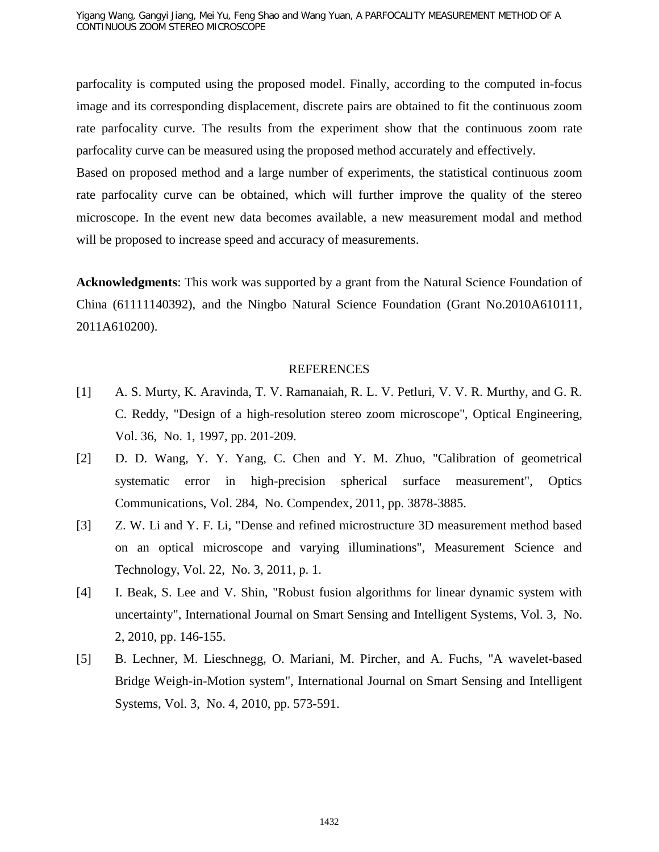parfocality is computed using the proposed model. Finally, according to the computed in-focus image and its corresponding displacement, discrete pairs are obtained to fit the continuous zoom rate parfocality curve. The results from the experiment show that the continuous zoom rate parfocality curve can be measured using the proposed method accurately and effectively.

Based on proposed method and a large number of experiments, the statistical continuous zoom rate parfocality curve can be obtained, which will further improve the quality of the stereo microscope. In the event new data becomes available, a new measurement modal and method will be proposed to increase speed and accuracy of measurements.

**Acknowledgments**: This work was supported by a grant from the Natural Science Foundation of China (61111140392), and the Ningbo Natural Science Foundation (Grant No.2010A610111, 2011A610200).

## REFERENCES

- [1] A. S. Murty, K. Aravinda, T. V. Ramanaiah, R. L. V. Petluri, V. V. R. Murthy, and G. R. C. Reddy, "Design of a high-resolution stereo zoom microscope", Optical Engineering, Vol. 36, No. 1, 1997, pp. 201-209.
- [2] D. D. Wang, Y. Y. Yang, C. Chen and Y. M. Zhuo, "Calibration of geometrical systematic error in high-precision spherical surface measurement", Optics Communications, Vol. 284, No. Compendex, 2011, pp. 3878-3885.
- [3] Z. W. Li and Y. F. Li, "Dense and refined microstructure 3D measurement method based on an optical microscope and varying illuminations", Measurement Science and Technology, Vol. 22, No. 3, 2011, p. 1.
- [4] I. Beak, S. Lee and V. Shin, "Robust fusion algorithms for linear dynamic system with uncertainty", International Journal on Smart Sensing and Intelligent Systems, Vol. 3, No. 2, 2010, pp. 146-155.
- [5] B. Lechner, M. Lieschnegg, O. Mariani, M. Pircher, and A. Fuchs, "A wavelet-based Bridge Weigh-in-Motion system", International Journal on Smart Sensing and Intelligent Systems, Vol. 3, No. 4, 2010, pp. 573-591.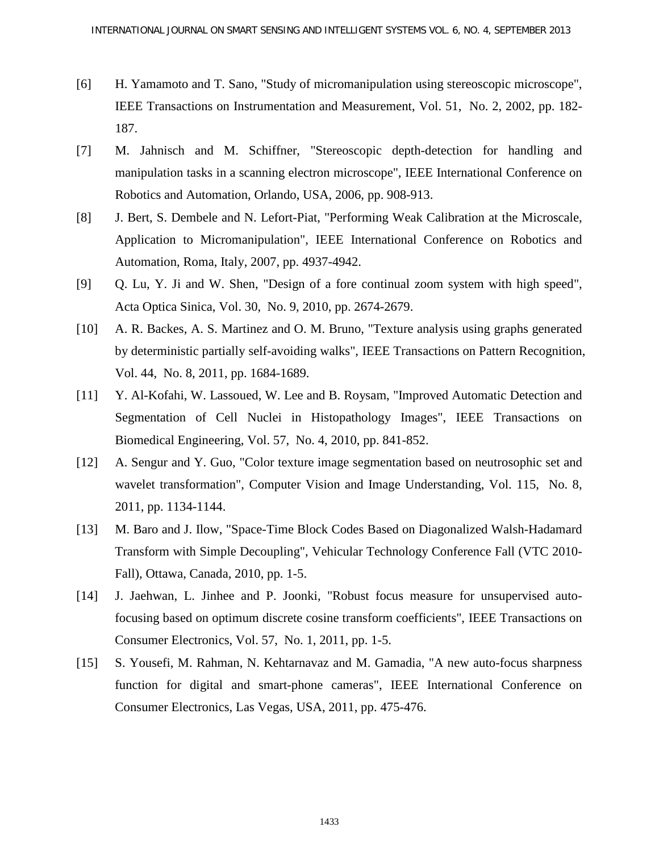- [6] H. Yamamoto and T. Sano, "Study of micromanipulation using stereoscopic microscope", IEEE Transactions on Instrumentation and Measurement, Vol. 51, No. 2, 2002, pp. 182- 187.
- [7] M. Jahnisch and M. Schiffner, "Stereoscopic depth-detection for handling and manipulation tasks in a scanning electron microscope", IEEE International Conference on Robotics and Automation, Orlando, USA, 2006, pp. 908-913.
- [8] J. Bert, S. Dembele and N. Lefort-Piat, "Performing Weak Calibration at the Microscale, Application to Micromanipulation", IEEE International Conference on Robotics and Automation, Roma, Italy, 2007, pp. 4937-4942.
- [9] Q. Lu, Y. Ji and W. Shen, "Design of a fore continual zoom system with high speed", Acta Optica Sinica, Vol. 30, No. 9, 2010, pp. 2674-2679.
- [10] A. R. Backes, A. S. Martinez and O. M. Bruno, "Texture analysis using graphs generated by deterministic partially self-avoiding walks", IEEE Transactions on Pattern Recognition, Vol. 44, No. 8, 2011, pp. 1684-1689.
- [11] Y. Al-Kofahi, W. Lassoued, W. Lee and B. Roysam, "Improved Automatic Detection and Segmentation of Cell Nuclei in Histopathology Images", IEEE Transactions on Biomedical Engineering, Vol. 57, No. 4, 2010, pp. 841-852.
- [12] A. Sengur and Y. Guo, "Color texture image segmentation based on neutrosophic set and wavelet transformation", Computer Vision and Image Understanding, Vol. 115, No. 8, 2011, pp. 1134-1144.
- [13] M. Baro and J. Ilow, "Space-Time Block Codes Based on Diagonalized Walsh-Hadamard Transform with Simple Decoupling", Vehicular Technology Conference Fall (VTC 2010- Fall), Ottawa, Canada, 2010, pp. 1-5.
- [14] J. Jaehwan, L. Jinhee and P. Joonki, "Robust focus measure for unsupervised autofocusing based on optimum discrete cosine transform coefficients", IEEE Transactions on Consumer Electronics, Vol. 57, No. 1, 2011, pp. 1-5.
- [15] S. Yousefi, M. Rahman, N. Kehtarnavaz and M. Gamadia, "A new auto-focus sharpness function for digital and smart-phone cameras", IEEE International Conference on Consumer Electronics, Las Vegas, USA, 2011, pp. 475-476.